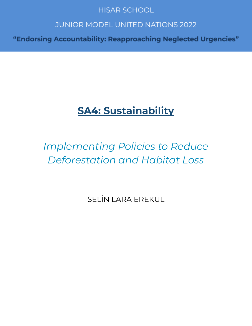# **HISAR SCHOOL**

# **JUNIOR MODEL UNITED NATIONS 2022**

"Endorsing Accountability: Reapproaching Neglected Urgencies"

# **SA4: Sustainability**

# *Implementing Policies to Reduce Deforestation and Habitat Loss*

SELİN LARA EREKUL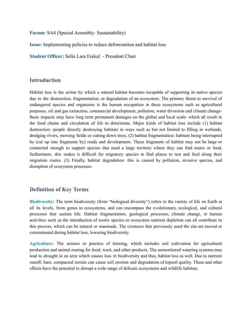**Forum:** SA4 (Special Assembly- Sustainability)

**Issue:** Implementing policies to reduce deforestation and habitat loss

**Student Officer:** Selin Lara Erekul - President Chair

### **Introduction**

Habitat loss is the action by which a natural habitat becomes incapable of supporting its native species due to the destruction, fragmentation, or degradation of an ecosystem. The primary threat to survival of endangered species and organisms is the human occupation in these ecosystems such as agricultural purposes, oil and gas extraction, commercial development, pollution, water diversion and climate changethese impacts may have long term permanent damages on the global and local scale- which all result in the food chains and circulation of life to deteriorate. Major kinds of habitat loss include (1) habitat destruction: people directly destroying habitats in ways such as but not limited to filling in wetlands, dredging rivers, mowing fields or cutting down trees, (2) habitat fragmentation: habitats being interrupted by (cut up into fragments by) roads and development. These fragments of habitat may not be large or connected enough to support species that need a large territory where they can find mates or food, furthermore, this makes it difficult for migratory species to find places to rest and feed along their migration routes. (3) Finally, habitat degradation: this is caused by pollution, invasive species, and disruption of ecosystem processes.

#### **Definition of Key Terms**

**Biodiversity:** The term biodiversity (from "biological diversity") refers to the variety of life on Earth at all its levels, from genes to ecosystems, and can encompass the evolutionary, ecological, and cultural processes that sustain life. Habitat fragmentation, geological processes, climate change, or human activities such as the introduction of exotic species or ecosystem nutrient depletion can all contribute to this process, which can be natural or manmade. The creatures that previously used the site are moved or exterminated during habitat loss, lowering biodiversity.

**Agriculture:** The science or practice of farming, which includes soil cultivation for agricultural production and animal rearing for food, wool, and other products. The unmonitored watering systems may lead to drought in an area which causes loss in biodiversity and thus, habitat loss as well. Due to nutrient runoff, bare, compacted terrain can cause soil erosion and degradation of topsoil quality. These and other effects have the potential to disrupt a wide range of delicate ecosystems and wildlife habitats.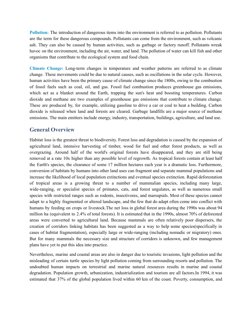**Pollution:** The introduction of dangerous items into the environment is referred to as pollution. Pollutants are the term for these dangerous compounds. Pollutants can come from the environment, such as volcanic ash. They can also be caused by human activities, such as garbage or factory runoff. Pollutants wreak havoc on the environment, including the air, water, and land. The pollution of water can kill fish and other organisms that contribute to the ecological system and food chain.

**Climate Change:** Long-term changes in temperature and weather patterns are referred to as climate change. These movements could be due to natural causes, such as oscillations in the solar cycle. However, human activities have been the primary cause of climate change since the 1800s, owing to the combustion of fossil fuels such as coal, oil, and gas. Fossil fuel combustion produces greenhouse gas emissions, which act as a blanket around the Earth, trapping the sun's heat and boosting temperatures. Carbon dioxide and methane are two examples of greenhouse gas emissions that contribute to climate change. These are produced by, for example, utilizing gasoline to drive a car or coal to heat a building. Carbon dioxide is released when land and forests are cleared. Garbage landfills are a major source of methane emissions. The main emitters include energy, industry, transportation, buildings, agriculture, and land use.

### **General Overview**

Habitat loss is the greatest threat to biodiversity. Forest loss and degradation is caused by the expansion of agricultural land, intensive harvesting of timber, wood for fuel and other forest products, as well as overgrazing. Around half of the world's original forests have disappeared, and they are still being removed at a rate 10x higher than any possible level of regrowth. As tropical forests contain at least half the Earth's species, the clearance of some 17 million hectares each year is a dramatic loss. Furthermore, conversion of habitats by humans into other land uses can fragment and separate mammal populations and increase the likelihood of local population extinctions and eventual species extinction. Rapid deforestation of tropical areas is a growing threat to a number of mammalian species, including many large, wide-ranging, or specialist species of primates, cats, and forest ungulates, as well as numerous small species with restricted ranges such as rodents, insectivores, and marsupials. Most of these species cannot adapt to a highly fragmented or altered landscape, and the few that do adapt often come into conflict with humans by feeding on crops or livestock.The net loss in global forest area during the 1990s was about 94 million ha (equivalent to 2.4% of total forests). It is estimated that in the 1990s, almost 70% of deforested areas were converted to agricultural land. Because mammals are often relatively poor dispersers, the creation of corridors linking habitats has been suggested as a way to help some species(specifically in cases of habitat fragmentation), especially large or wide-ranging (including nomadic or migratory) ones. But for many mammals the necessary size and structure of corridors is unknown, and few management plans have yet to put this idea into practice.

Nevertheless, marine and coastal areas are also in danger due to touristic invasions, light pollution and the misleading of certain turtle species by light pollution coming from surrounding resorts and pollution. The undoubted human impacts on terrestrial and marine natural resources results in marine and coastal degradation. Population growth, urbanization, industrialization and tourism are all factors.In 1994, it was estimated that 37% of the global population lived within 60 km of the coast. Poverty, consumption, and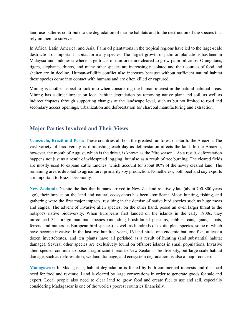land-use patterns contribute to the degradation of marine habitats and to the destruction of the species that rely on them to survive.

In Africa, Latin America, and Asia, Palm oil plantations in the tropical regions have led to the large-scale destruction of important habitat for many species. The largest growth of palm oil plantations has been in Malaysia and Indonesia where large tracts of rainforest are cleared to grow palm oil crops. Orangutans, tigers, elephants, rhinos, and many other species are increasingly isolated and their sources of food and shelter are in decline. Human-wildlife conflict also increases because without sufficient natural habitat these species come into contact with humans and are often killed or captured.

Mining is another aspect to look into when considering the human interest in the natural habitual areas. Mining has a direct impact on local habitat degradation by removing native plant and soil, as well as indirect impacts through supporting changes at the landscape level, such as but not limited to road and secondary access openings, urbanization and deforestation for charcoal manufacturing and extraction.

## **Major Parties Involved and Their Views**

**Venezuela, Brazil and Peru:** These countries all host the greatest rainforest on Earth: the Amazon. The vast variety of biodiversity is diminishing each day as deforestation affects the land. In the Amazon, however, the month of August, which is the driest, is known as the "fire season". As a result, deforestation happens not just as a result of widespread logging, but also as a result of tree burning. The cleared fields are mostly used to expand cattle ranches, which account for about 80% of the newly cleared land. The remaining area is devoted to agriculture, primarily soy production. Nonetheless, both beef and soy exports are important to Brazil's economy.

**New Zealand:** Despite the fact that humans arrived in New Zealand relatively late (about 700-800 years ago), their impact on the land and natural ecosystems has been significant. Maori hunting, fishing, and gathering were the first major impacts, resulting in the demise of native bird species such as huge moas and eagles. The advent of invasive alien species, on the other hand, posed an even larger threat to the hotspot's native biodiversity. When Europeans first landed on the islands in the early 1800s, they introduced 34 foreign mammal species (including brush-tailed possums, rabbits, cats, goats, stoats, ferrets, and numerous European bird species) as well as hundreds of exotic plant species, some of which have become invasive. In the last two hundred years, 16 land birds, one endemic bat, one fish, at least a dozen invertebrates, and ten plants have all perished as a result of hunting (and substantial habitat damage). Several other species are exclusively found on offshore islands in small populations. Invasive alien species continue to pose a significant threat to New Zealand's biodiversity, but large-scale habitat damage, such as deforestation, wetland drainage, and ecosystem degradation, is also a major concern.

**Madagascar:** In Madagascar, habitat degradation is fueled by both commercial interests and the local need for food and revenue. Land is cleared by large corporations in order to generate goods for sale and export. Local people also need to clear land to grow food and create fuel to use and sell, especially considering Madagascar is one of the world's poorest countries financially.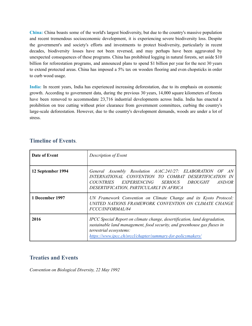**China:** China boasts some of the world's largest biodiversity, but due to the country's massive population and recent tremendous socioeconomic development, it is experiencing severe biodiversity loss. Despite the government's and society's efforts and investments to protect biodiversity, particularly in recent decades, biodiversity losses have not been reversed, and may perhaps have been aggravated by unexpected consequences of these programs. China has prohibited logging in natural forests, set aside \$10 billion for reforestation programs, and announced plans to spend \$1 billion per year for the next 30 years to extend protected areas. China has imposed a 5% tax on wooden flooring and even chopsticks in order to curb wood usage.

**India:** In recent years, India has experienced increasing deforestation, due to its emphasis on economic growth. According to government data, during the previous 30 years, 14,000 square kilometers of forests have been removed to accommodate 23,716 industrial developments across India. India has enacted a prohibition on tree cutting without prior clearance from government committees, curbing the country's large-scale deforestation. However, due to the country's development demands, woods are under a lot of stress.

| Date of Event     | Description of Event                                                                                                                                                                                                                            |
|-------------------|-------------------------------------------------------------------------------------------------------------------------------------------------------------------------------------------------------------------------------------------------|
| 12 September 1994 | General Assembly Resolution A/AC.241/27: ELABORATION OF<br>AN<br>INTERNATIONAL CONVENTION TO COMBAT DESERTIFICATION<br>- IN<br>COUNTRIES EXPERIENCING SERIOUS DROUGHT AND/OR<br>DESERTIFICATION, PARTICULARLY IN AFRICA                         |
| 1 December 1997   | UN Framework Convention on Climate Change and its Kyoto Protocol:<br>UNITED NATIONS FRAMEWORK CONVENTION ON CLIMATE CHANGE<br>FCCC/INFORMAL/84                                                                                                  |
| 2016              | IPCC Special Report on climate change, desertification, land degradation,<br>sustainable land management, food security, and greenhouse gas fluxes in<br>terrestrial ecosystems:<br>https://www.ipcc.ch/srccl/chapter/summary-for-policymakers/ |

## **Timeline of Events**.

## **Treaties and Events**

*Convention on Biological Diversity, 22 May 1992*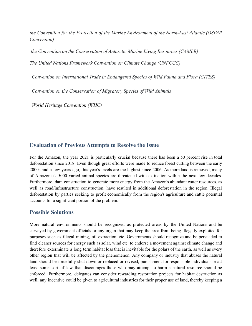*the Convention for the Protection of the Marine Environment of the North-East Atlantic (OSPAR Convention)*

*the Convention on the Conservation of Antarctic Marine Living Resources (CAMLR)*

*The United Nations Framework Convention on Climate Change (UNFCCC)*

*Convention on International Trade in Endangered Species of Wild Fauna and Flora (CITES)*

*Convention on the Conservation of Migratory Species of Wild Animals*

*World Heritage Convention (WHC)*

#### **Evaluation of Previous Attempts to Resolve the Issue**

For the Amazon, the year 2021 is particularly crucial because there has been a 50 percent rise in total deforestation since 2018. Even though great efforts were made to reduce forest cutting between the early 2000s and a few years ago, this year's levels are the highest since 2006. As more land is removed, many of Amazonia's 5000 varied animal species are threatened with extinction within the next few decades. Furthermore, dam construction to generate more energy from the Amazon's abundant water resources, as well as road/infrastructure construction, have resulted in additional deforestation in the region. Illegal deforestation by parties seeking to profit economically from the region's agriculture and cattle potential accounts for a significant portion of the problem.

#### **Possible Solutions**

More natural environments should be recognized as protected areas by the United Nations and be surveyed by government officials or any organ that may keep the area from being illegally exploited for purposes such as illegal mining, oil extraction, etc. Governments should recognize and be persuaded to find cleaner sources for energy such as solar, wind etc. to endorse a movement against climate change and therefore exterminate a long term habitat loss that is inevitable for the polars of the earth, as well as every other region that will be affected by the phenomenon. Any company or industry that abuses the natural land should be forcefully shut down or replaced or revised, punishment for responsible individuals or att least some sort of law that discourages those who may attempt to harm a natural resource should be enforced. Furthermore, delegates can consider rewarding restoration projects for habitat destruction as well, any incentive could be given to agricultural industries for their proper use of land, thereby keeping a